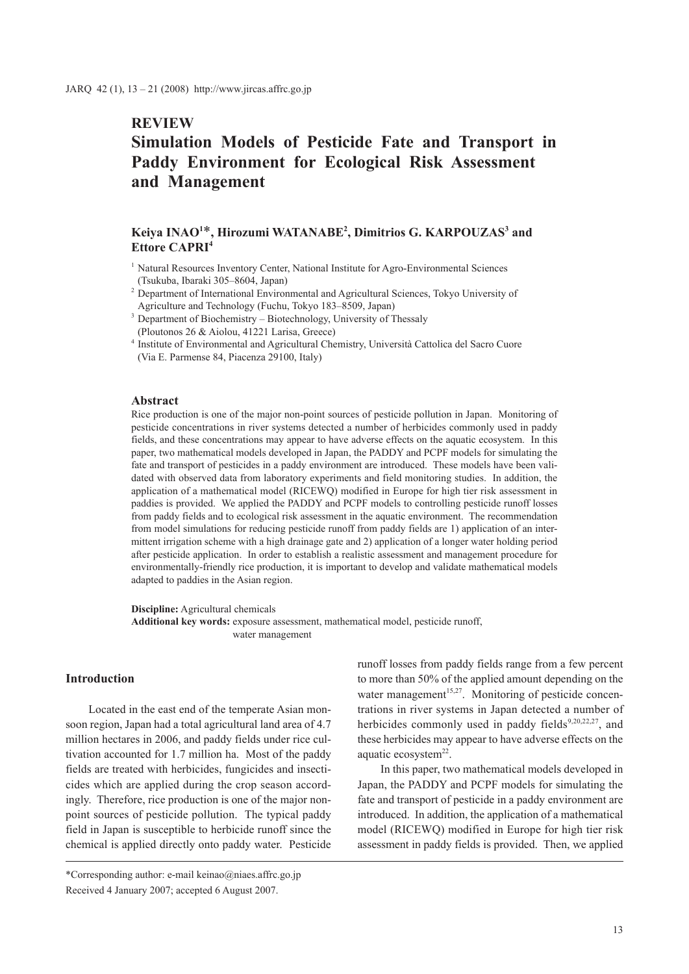## **REVIEW**

# **Simulation Models of Pesticide Fate and Transport in Paddy Environment for Ecological Risk Assessment and Management**

## **Keiya INAO1** \***, Hirozumi WATANABE2 , Dimitrios G. KARPOUZAS3 and Ettore CAPRI4**

- <sup>1</sup> Natural Resources Inventory Center, National Institute for Agro-Environmental Sciences (Tsukuba, Ibaraki 305–8604, Japan)
- <sup>2</sup> Department of International Environmental and Agricultural Sciences, Tokyo University of Agriculture and Technology (Fuchu, Tokyo 183–8509, Japan)
- <sup>3</sup> Department of Biochemistry Biotechnology, University of Thessaly (Ploutonos 26 & Aiolou, 41221 Larisa, Greece)
- <sup>4</sup> Institute of Environmental and Agricultural Chemistry, Università Cattolica del Sacro Cuore (Via E. Parmense 84, Piacenza 29100, Italy)

#### **Abstract**

Rice production is one of the major non-point sources of pesticide pollution in Japan. Monitoring of pesticide concentrations in river systems detected a number of herbicides commonly used in paddy fields, and these concentrations may appear to have adverse effects on the aquatic ecosystem. In this paper, two mathematical models developed in Japan, the PADDY and PCPF models for simulating the fate and transport of pesticides in a paddy environment are introduced. These models have been validated with observed data from laboratory experiments and field monitoring studies. In addition, the application of a mathematical model (RICEWQ) modified in Europe for high tier risk assessment in paddies is provided. We applied the PADDY and PCPF models to controlling pesticide runoff losses from paddy fields and to ecological risk assessment in the aquatic environment. The recommendation from model simulations for reducing pesticide runoff from paddy fields are 1) application of an intermittent irrigation scheme with a high drainage gate and 2) application of a longer water holding period after pesticide application. In order to establish a realistic assessment and management procedure for environmentally-friendly rice production, it is important to develop and validate mathematical models adapted to paddies in the Asian region.

**Discipline:** Agricultural chemicals

**Additional key words:** exposure assessment, mathematical model, pesticide runoff, water management

## **Introduction**

Located in the east end of the temperate Asian monsoon region, Japan had a total agricultural land area of 4.7 million hectares in 2006, and paddy fields under rice cultivation accounted for 1.7 million ha. Most of the paddy fields are treated with herbicides, fungicides and insecticides which are applied during the crop season accordingly. Therefore, rice production is one of the major nonpoint sources of pesticide pollution. The typical paddy field in Japan is susceptible to herbicide runoff since the chemical is applied directly onto paddy water. Pesticide runoff losses from paddy fields range from a few percent to more than 50% of the applied amount depending on the water management<sup>15,27</sup>. Monitoring of pesticide concentrations in river systems in Japan detected a number of herbicides commonly used in paddy fields $9,20,22,27$ , and these herbicides may appear to have adverse effects on the aquatic ecosystem<sup>22</sup>.

In this paper, two mathematical models developed in Japan, the PADDY and PCPF models for simulating the fate and transport of pesticide in a paddy environment are introduced. In addition, the application of a mathematical model (RICEWQ) modified in Europe for high tier risk assessment in paddy fields is provided. Then, we applied

<sup>\*</sup>Corresponding author: e-mail keinao@niaes.affrc.go.jp Received 4 January 2007; accepted 6 August 2007.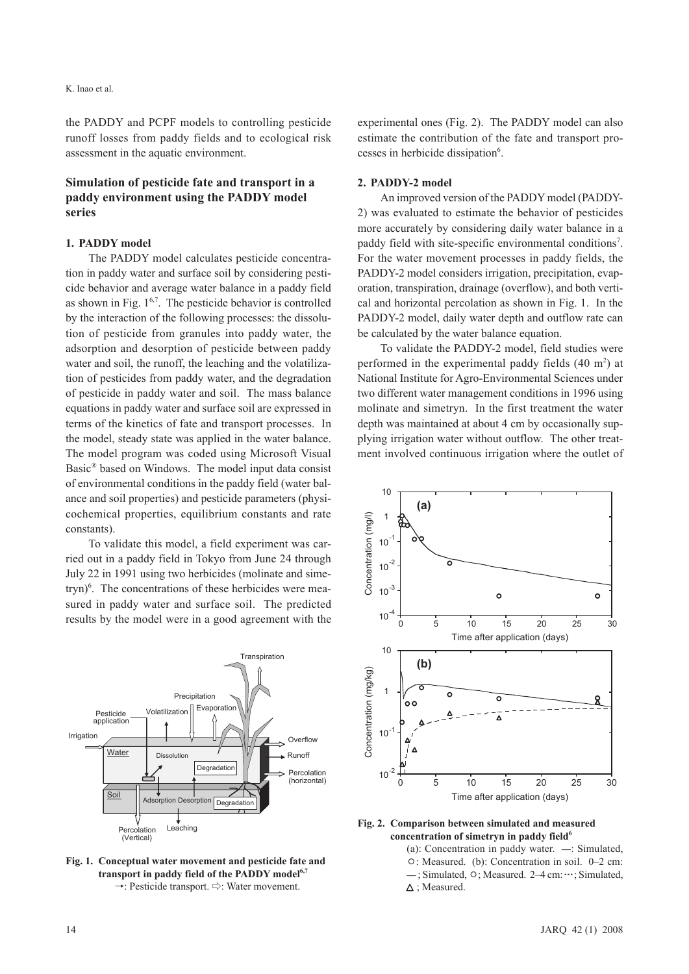the PADDY and PCPF models to controlling pesticide runoff losses from paddy fields and to ecological risk assessment in the aquatic environment.

## **Simulation of pesticide fate and transport in a paddy environment using the PADDY model series**

#### **1. PADDY model**

The PADDY model calculates pesticide concentration in paddy water and surface soil by considering pesticide behavior and average water balance in a paddy field as shown in Fig.  $1^{6,7}$ . The pesticide behavior is controlled by the interaction of the following processes: the dissolution of pesticide from granules into paddy water, the adsorption and desorption of pesticide between paddy water and soil, the runoff, the leaching and the volatilization of pesticides from paddy water, and the degradation of pesticide in paddy water and soil. The mass balance equations in paddy water and surface soil are expressed in terms of the kinetics of fate and transport processes. In the model, steady state was applied in the water balance. The model program was coded using Microsoft Visual Basic® based on Windows. The model input data consist of environmental conditions in the paddy field (water balance and soil properties) and pesticide parameters (physicochemical properties, equilibrium constants and rate constants).

To validate this model, a field experiment was carried out in a paddy field in Tokyo from June 24 through July 22 in 1991 using two herbicides (molinate and simetryn) $\delta$ . The concentrations of these herbicides were measured in paddy water and surface soil. The predicted results by the model were in a good agreement with the



**Fig. 1. Conceptual water movement and pesticide fate and**  transport in paddy field of the PADDY model<sup>6,7</sup> →: Pesticide transport. ⇨: Water movement.

experimental ones (Fig. 2). The PADDY model can also estimate the contribution of the fate and transport processes in herbicide dissipation<sup>6</sup>.

#### **2. PADDY-2 model**

An improved version of the PADDY model (PADDY-2) was evaluated to estimate the behavior of pesticides more accurately by considering daily water balance in a paddy field with site-specific environmental conditions<sup>7</sup>. For the water movement processes in paddy fields, the PADDY-2 model considers irrigation, precipitation, evaporation, transpiration, drainage (overflow), and both vertical and horizontal percolation as shown in Fig. 1. In the PADDY-2 model, daily water depth and outflow rate can be calculated by the water balance equation.

To validate the PADDY-2 model, field studies were performed in the experimental paddy fields  $(40 \text{ m}^2)$  at National Institute for Agro-Environmental Sciences under two different water management conditions in 1996 using molinate and simetryn. In the first treatment the water depth was maintained at about 4 cm by occasionally supplying irrigation water without outflow. The other treatment involved continuous irrigation where the outlet of



**Fig. 2. Comparison between simulated and measured**  concentration of simetryn in paddy field<sup>6</sup>

(a): Concentration in paddy water. —: Simulated, ○: Measured. (b): Concentration in soil. 0–2 cm: — ; Simulated, ○; Measured. 2–4 cm: ┉; Simulated,  $\Delta$ : Measured.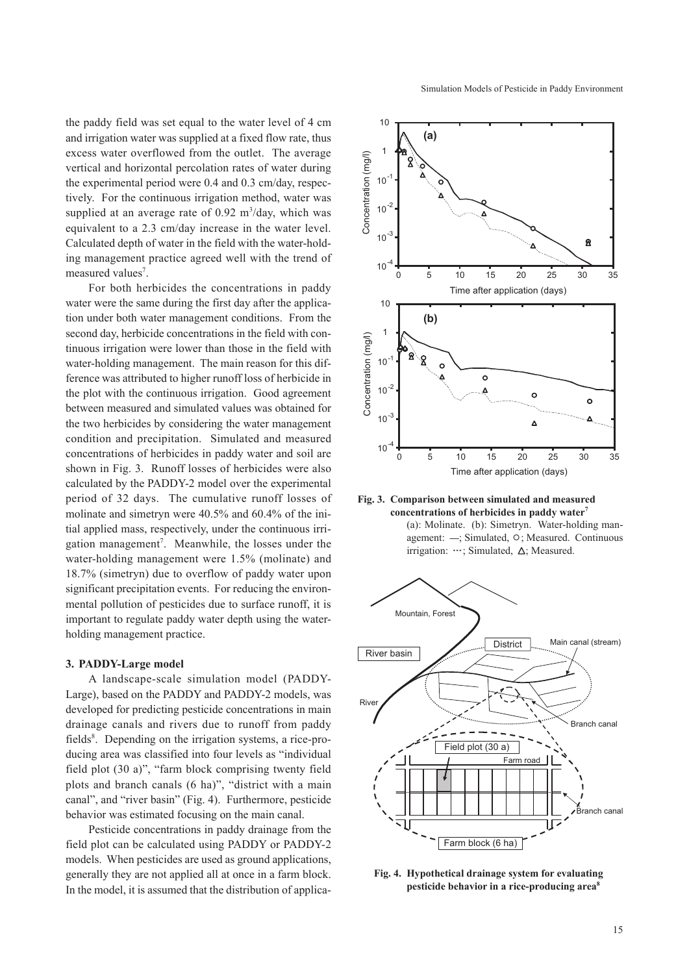the paddy field was set equal to the water level of 4 cm and irrigation water was supplied at a fixed flow rate, thus excess water overflowed from the outlet. The average vertical and horizontal percolation rates of water during the experimental period were 0.4 and 0.3 cm/day, respectively. For the continuous irrigation method, water was supplied at an average rate of  $0.92 \text{ m}^3/\text{day}$ , which was equivalent to a 2.3 cm/day increase in the water level. Calculated depth of water in the field with the water-holding management practice agreed well with the trend of measured values<sup>7</sup>.

For both herbicides the concentrations in paddy water were the same during the first day after the application under both water management conditions. From the second day, herbicide concentrations in the field with continuous irrigation were lower than those in the field with water-holding management. The main reason for this difference was attributed to higher runoff loss of herbicide in the plot with the continuous irrigation. Good agreement between measured and simulated values was obtained for the two herbicides by considering the water management condition and precipitation. Simulated and measured concentrations of herbicides in paddy water and soil are shown in Fig. 3. Runoff losses of herbicides were also calculated by the PADDY-2 model over the experimental period of 32 days. The cumulative runoff losses of molinate and simetryn were 40.5% and 60.4% of the initial applied mass, respectively, under the continuous irrigation management<sup>7</sup>. Meanwhile, the losses under the water-holding management were 1.5% (molinate) and 18.7% (simetryn) due to overflow of paddy water upon significant precipitation events. For reducing the environmental pollution of pesticides due to surface runoff, it is important to regulate paddy water depth using the waterholding management practice.

#### **3. PADDY-Large model**

A landscape-scale simulation model (PADDY-Large), based on the PADDY and PADDY-2 models, was developed for predicting pesticide concentrations in main drainage canals and rivers due to runoff from paddy fields<sup>8</sup>. Depending on the irrigation systems, a rice-producing area was classified into four levels as "individual field plot (30 a)", "farm block comprising twenty field plots and branch canals (6 ha)", "district with a main canal", and "river basin" (Fig. 4). Furthermore, pesticide behavior was estimated focusing on the main canal.

Pesticide concentrations in paddy drainage from the field plot can be calculated using PADDY or PADDY-2 models. When pesticides are used as ground applications, generally they are not applied all at once in a farm block. In the model, it is assumed that the distribution of applica-



**Fig. 3. Comparison between simulated and measured concentrations of herbicides in paddy water7** (a): Molinate. (b): Simetryn. Water-holding management: —; Simulated, ○; Measured. Continuous irrigation:  $\cdots$ ; Simulated,  $\Delta$ ; Measured.



**Fig. 4. Hypothetical drainage system for evaluating pesticide behavior in a rice-producing area8**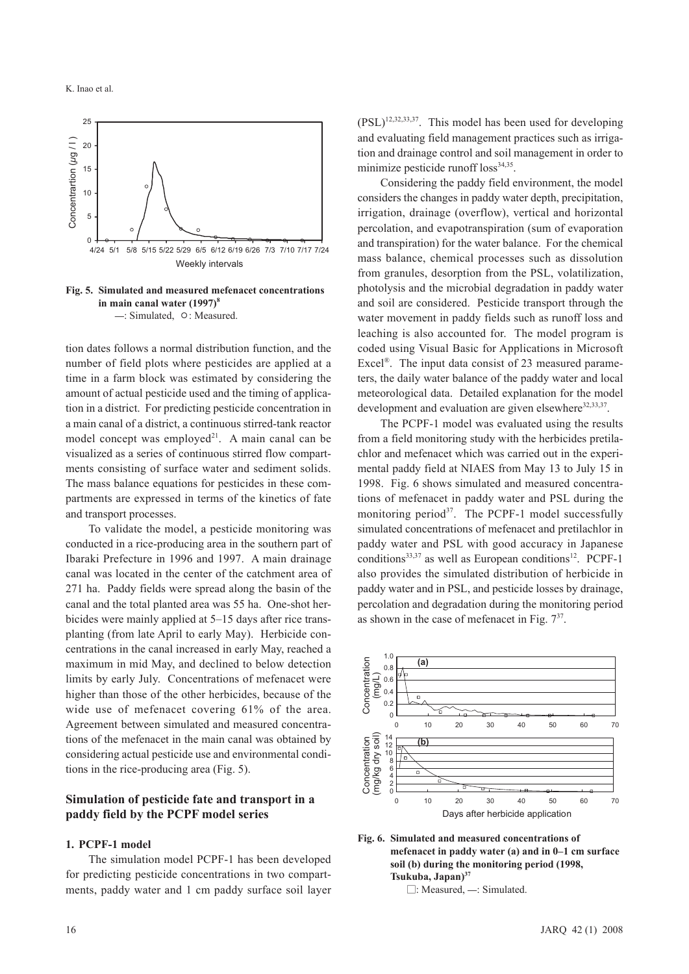

**Fig. 5. Simulated and measured mefenacet concentrations in main canal water (1997)8** —: Simulated, ○: Measured.

tion dates follows a normal distribution function, and the number of field plots where pesticides are applied at a time in a farm block was estimated by considering the amount of actual pesticide used and the timing of application in a district. For predicting pesticide concentration in a main canal of a district, a continuous stirred-tank reactor model concept was employed<sup>21</sup>. A main canal can be visualized as a series of continuous stirred flow compartments consisting of surface water and sediment solids. The mass balance equations for pesticides in these compartments are expressed in terms of the kinetics of fate and transport processes.

To validate the model, a pesticide monitoring was conducted in a rice-producing area in the southern part of Ibaraki Prefecture in 1996 and 1997. A main drainage canal was located in the center of the catchment area of 271 ha. Paddy fields were spread along the basin of the canal and the total planted area was 55 ha. One-shot herbicides were mainly applied at 5–15 days after rice transplanting (from late April to early May). Herbicide concentrations in the canal increased in early May, reached a maximum in mid May, and declined to below detection limits by early July. Concentrations of mefenacet were higher than those of the other herbicides, because of the wide use of mefenacet covering 61% of the area. Agreement between simulated and measured concentrations of the mefenacet in the main canal was obtained by considering actual pesticide use and environmental conditions in the rice-producing area (Fig. 5).

## **Simulation of pesticide fate and transport in a paddy field by the PCPF model series**

## **1. PCPF-1 model**

The simulation model PCPF-1 has been developed for predicting pesticide concentrations in two compartments, paddy water and 1 cm paddy surface soil layer

 $(PSL)^{12,32,33,37}$ . This model has been used for developing and evaluating field management practices such as irrigation and drainage control and soil management in order to minimize pesticide runoff  $loss<sup>34,35</sup>$ .

Considering the paddy field environment, the model considers the changes in paddy water depth, precipitation, irrigation, drainage (overflow), vertical and horizontal percolation, and evapotranspiration (sum of evaporation and transpiration) for the water balance. For the chemical mass balance, chemical processes such as dissolution from granules, desorption from the PSL, volatilization, photolysis and the microbial degradation in paddy water and soil are considered. Pesticide transport through the water movement in paddy fields such as runoff loss and leaching is also accounted for. The model program is coded using Visual Basic for Applications in Microsoft Excel<sup>®</sup>. The input data consist of 23 measured parameters, the daily water balance of the paddy water and local meteorological data. Detailed explanation for the model development and evaluation are given elsewhere $32,33,37$ .

The PCPF-1 model was evaluated using the results from a field monitoring study with the herbicides pretilachlor and mefenacet which was carried out in the experimental paddy field at NIAES from May 13 to July 15 in 1998. Fig. 6 shows simulated and measured concentrations of mefenacet in paddy water and PSL during the monitoring period $3^7$ . The PCPF-1 model successfully simulated concentrations of mefenacet and pretilachlor in paddy water and PSL with good accuracy in Japanese conditions<sup>33,37</sup> as well as European conditions<sup>12</sup>. PCPF-1 also provides the simulated distribution of herbicide in paddy water and in PSL, and pesticide losses by drainage, percolation and degradation during the monitoring period as shown in the case of mefenacet in Fig. 737.



**Fig. 6. Simulated and measured concentrations of mefenacet in paddy water (a) and in 0–1 cm surface soil (b) during the monitoring period (1998, Tsukuba, Japan)37**

□: Measured, —: Simulated.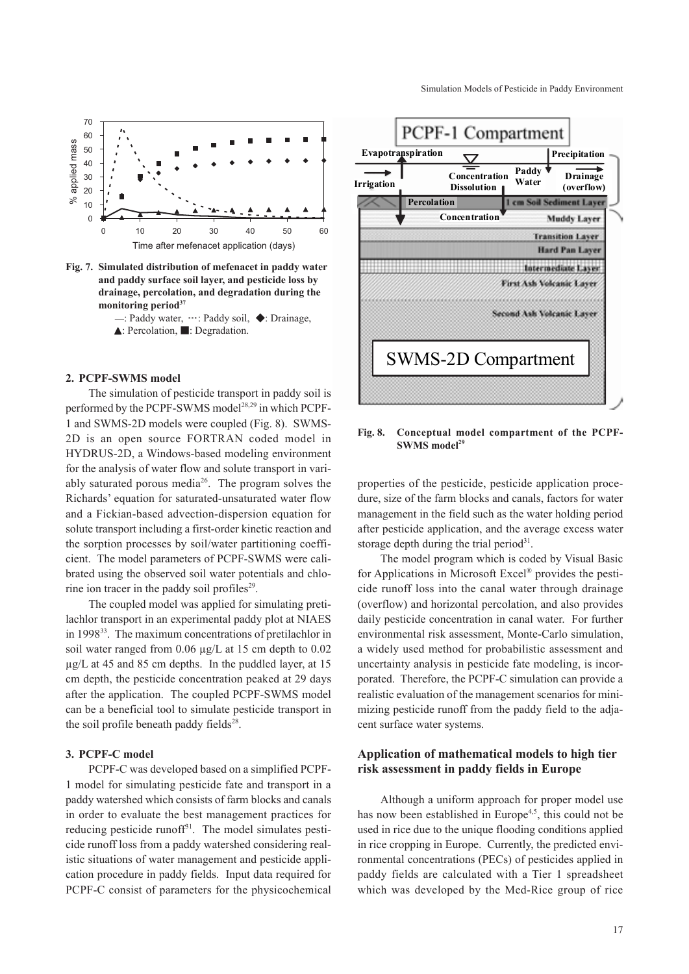Simulation Models of Pesticide in Paddy Environment



**Fig. 7. Simulated distribution of mefenacet in paddy water and paddy surface soil layer, and pesticide loss by drainage, percolation, and degradation during the monitoring period37**



#### **2. PCPF-SWMS model**

The simulation of pesticide transport in paddy soil is performed by the PCPF-SWMS model<sup>28,29</sup> in which PCPF-1 and SWMS-2D models were coupled (Fig. 8). SWMS-2D is an open source FORTRAN coded model in HYDRUS-2D, a Windows-based modeling environment for the analysis of water flow and solute transport in variably saturated porous media $26$ . The program solves the Richards' equation for saturated-unsaturated water flow and a Fickian-based advection-dispersion equation for solute transport including a first-order kinetic reaction and the sorption processes by soil/water partitioning coefficient. The model parameters of PCPF-SWMS were calibrated using the observed soil water potentials and chlorine ion tracer in the paddy soil profiles $29$ .

The coupled model was applied for simulating pretilachlor transport in an experimental paddy plot at NIAES in 1998<sup>33</sup>. The maximum concentrations of pretilachlor in soil water ranged from 0.06 µg/L at 15 cm depth to 0.02 µg/L at 45 and 85 cm depths. In the puddled layer, at 15 cm depth, the pesticide concentration peaked at 29 days after the application. The coupled PCPF-SWMS model can be a beneficial tool to simulate pesticide transport in the soil profile beneath paddy fields $28$ .

## **3. PCPF-C model**

PCPF-C was developed based on a simplified PCPF-1 model for simulating pesticide fate and transport in a paddy watershed which consists of farm blocks and canals in order to evaluate the best management practices for reducing pesticide runoff $3<sup>1</sup>$ . The model simulates pesticide runoff loss from a paddy watershed considering realistic situations of water management and pesticide application procedure in paddy fields. Input data required for PCPF-C consist of parameters for the physicochemical



**Fig. 8. Conceptual model compartment of the PCPF-SWMS model29**

properties of the pesticide, pesticide application procedure, size of the farm blocks and canals, factors for water management in the field such as the water holding period after pesticide application, and the average excess water storage depth during the trial period $31$ .

The model program which is coded by Visual Basic for Applications in Microsoft Excel® provides the pesticide runoff loss into the canal water through drainage (overflow) and horizontal percolation, and also provides daily pesticide concentration in canal water. For further environmental risk assessment, Monte-Carlo simulation, a widely used method for probabilistic assessment and uncertainty analysis in pesticide fate modeling, is incorporated. Therefore, the PCPF-C simulation can provide a realistic evaluation of the management scenarios for minimizing pesticide runoff from the paddy field to the adjacent surface water systems.

## **Application of mathematical models to high tier risk assessment in paddy fields in Europe**

Although a uniform approach for proper model use has now been established in Europe<sup>4,5</sup>, this could not be used in rice due to the unique flooding conditions applied in rice cropping in Europe. Currently, the predicted environmental concentrations (PECs) of pesticides applied in paddy fields are calculated with a Tier 1 spreadsheet which was developed by the Med-Rice group of rice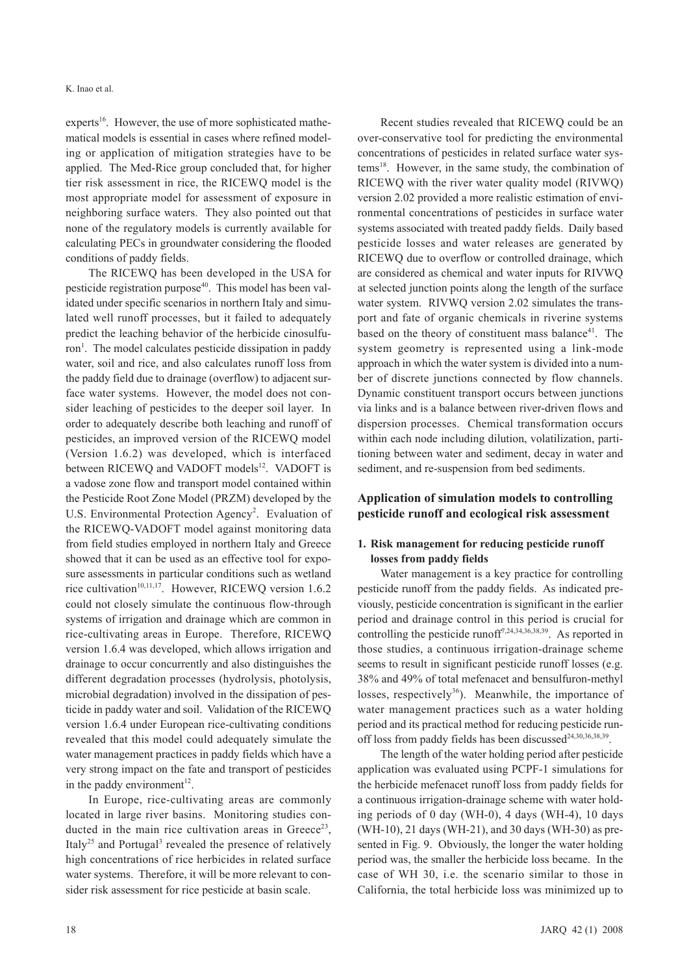experts<sup>16</sup>. However, the use of more sophisticated mathematical models is essential in cases where refined modeling or application of mitigation strategies have to be applied. The Med-Rice group concluded that, for higher tier risk assessment in rice, the RICEWQ model is the most appropriate model for assessment of exposure in neighboring surface waters. They also pointed out that none of the regulatory models is currently available for calculating PECs in groundwater considering the flooded conditions of paddy fields.

The RICEWQ has been developed in the USA for pesticide registration purpose<sup>40</sup>. This model has been validated under specific scenarios in northern Italy and simulated well runoff processes, but it failed to adequately predict the leaching behavior of the herbicide cinosulfuron<sup>1</sup>. The model calculates pesticide dissipation in paddy water, soil and rice, and also calculates runoff loss from the paddy field due to drainage (overflow) to adjacent surface water systems. However, the model does not consider leaching of pesticides to the deeper soil layer. In order to adequately describe both leaching and runoff of pesticides, an improved version of the RICEWQ model (Version 1.6.2) was developed, which is interfaced between RICEWQ and VADOFT models<sup>12</sup>. VADOFT is a vadose zone flow and transport model contained within the Pesticide Root Zone Model (PRZM) developed by the U.S. Environmental Protection Agency<sup>2</sup>. Evaluation of the RICEWQ-VADOFT model against monitoring data from field studies employed in northern Italy and Greece showed that it can be used as an effective tool for exposure assessments in particular conditions such as wetland rice cultivation<sup>10,11,17</sup>. However, RICEWQ version 1.6.2 could not closely simulate the continuous flow-through systems of irrigation and drainage which are common in rice-cultivating areas in Europe. Therefore, RICEWQ version 1.6.4 was developed, which allows irrigation and drainage to occur concurrently and also distinguishes the different degradation processes (hydrolysis, photolysis, microbial degradation) involved in the dissipation of pesticide in paddy water and soil. Validation of the RICEWQ version 1.6.4 under European rice-cultivating conditions revealed that this model could adequately simulate the water management practices in paddy fields which have a very strong impact on the fate and transport of pesticides in the paddy environment $12$ .

In Europe, rice-cultivating areas are commonly located in large river basins. Monitoring studies conducted in the main rice cultivation areas in Greece<sup>23</sup>, Italy<sup>25</sup> and Portugal<sup>3</sup> revealed the presence of relatively high concentrations of rice herbicides in related surface water systems. Therefore, it will be more relevant to consider risk assessment for rice pesticide at basin scale.

Recent studies revealed that RICEWQ could be an over-conservative tool for predicting the environmental concentrations of pesticides in related surface water sys $tems<sup>18</sup>$ . However, in the same study, the combination of RICEWQ with the river water quality model (RIVWQ) version 2.02 provided a more realistic estimation of environmental concentrations of pesticides in surface water systems associated with treated paddy fields. Daily based pesticide losses and water releases are generated by RICEWQ due to overflow or controlled drainage, which are considered as chemical and water inputs for RIVWQ at selected junction points along the length of the surface water system. RIVWQ version 2.02 simulates the transport and fate of organic chemicals in riverine systems based on the theory of constituent mass balance<sup>41</sup>. The system geometry is represented using a link-mode approach in which the water system is divided into a number of discrete junctions connected by flow channels. Dynamic constituent transport occurs between junctions via links and is a balance between river-driven flows and dispersion processes. Chemical transformation occurs within each node including dilution, volatilization, partitioning between water and sediment, decay in water and sediment, and re-suspension from bed sediments.

## **Application of simulation models to controlling pesticide runoff and ecological risk assessment**

## **1. Risk management for reducing pesticide runoff losses from paddy fields**

Water management is a key practice for controlling pesticide runoff from the paddy fields. As indicated previously, pesticide concentration is significant in the earlier period and drainage control in this period is crucial for controlling the pesticide runoff<sup>7,24,34,36,38,39</sup>. As reported in those studies, a continuous irrigation-drainage scheme seems to result in significant pesticide runoff losses (e.g. 38% and 49% of total mefenacet and bensulfuron-methyl losses, respectively<sup>36</sup>). Meanwhile, the importance of water management practices such as a water holding period and its practical method for reducing pesticide runoff loss from paddy fields has been discussed<sup>24,30,36,38,39</sup>.

The length of the water holding period after pesticide application was evaluated using PCPF-1 simulations for the herbicide mefenacet runoff loss from paddy fields for a continuous irrigation-drainage scheme with water holding periods of 0 day (WH-0), 4 days (WH-4), 10 days (WH-10), 21 days (WH-21), and 30 days (WH-30) as presented in Fig. 9. Obviously, the longer the water holding period was, the smaller the herbicide loss became. In the case of WH 30, i.e. the scenario similar to those in California, the total herbicide loss was minimized up to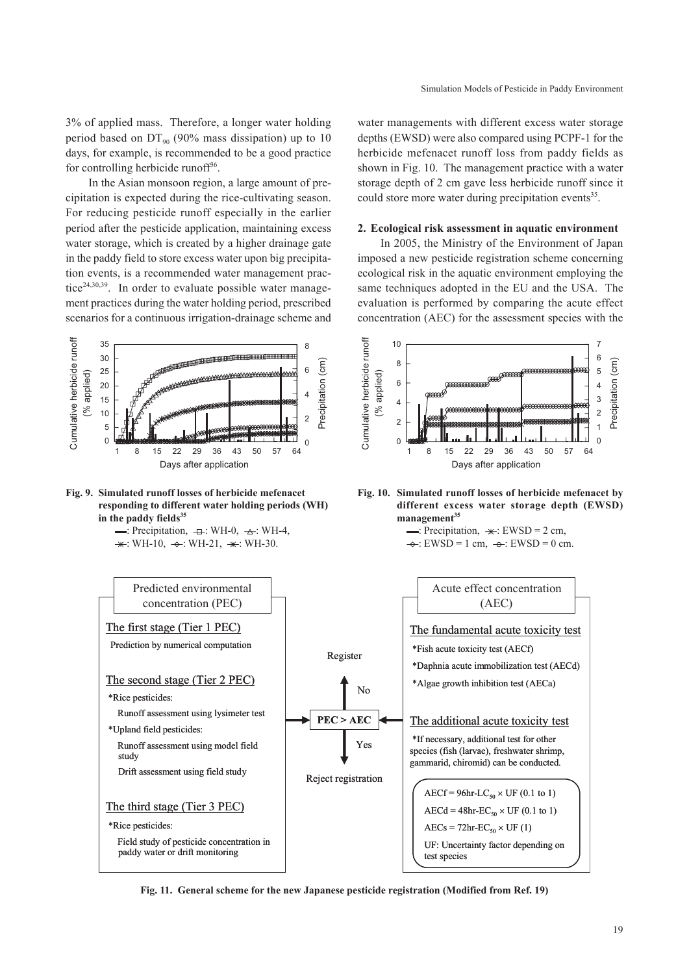3% of applied mass. Therefore, a longer water holding period based on  $DT_{90}$  (90% mass dissipation) up to 10 days, for example, is recommended to be a good practice for controlling herbicide runoff<sup>36</sup>.

In the Asian monsoon region, a large amount of precipitation is expected during the rice-cultivating season. For reducing pesticide runoff especially in the earlier period after the pesticide application, maintaining excess water storage, which is created by a higher drainage gate in the paddy field to store excess water upon big precipitation events, is a recommended water management practice<sup>24,30,39</sup>. In order to evaluate possible water management practices during the water holding period, prescribed scenarios for a continuous irrigation-drainage scheme and





 $\rightarrow$ : Precipitation,  $\rightarrow$  : WH-0,  $\rightarrow$  : WH-4,  $\star$ : WH-10,  $\div$ : WH-21,  $\star$ : WH-30.

water managements with different excess water storage depths (EWSD) were also compared using PCPF-1 for the herbicide mefenacet runoff loss from paddy fields as shown in Fig. 10. The management practice with a water storage depth of 2 cm gave less herbicide runoff since it could store more water during precipitation events<sup>35</sup>.

## **2. Ecological risk assessment in aquatic environment**

In 2005, the Ministry of the Environment of Japan imposed a new pesticide registration scheme concerning ecological risk in the aquatic environment employing the same techniques adopted in the EU and the USA. The evaluation is performed by comparing the acute effect concentration (AEC) for the assessment species with the





 $\Rightarrow$ : Precipitation,  $\Rightarrow$ : EWSD = 2 cm,  $\rightarrow$ : EWSD = 1 cm,  $\rightarrow$ : EWSD = 0 cm.



**Fig. 11. General scheme for the new Japanese pesticide registration (Modified from Ref. 19)**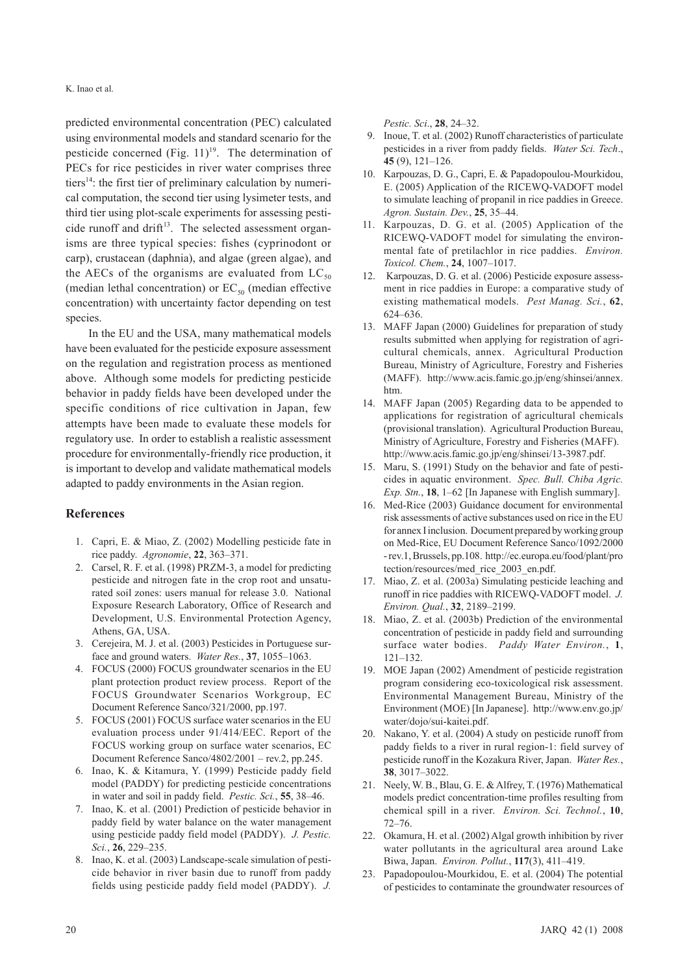predicted environmental concentration (PEC) calculated using environmental models and standard scenario for the pesticide concerned (Fig.  $11$ )<sup>19</sup>. The determination of PECs for rice pesticides in river water comprises three tiers<sup>14</sup>: the first tier of preliminary calculation by numerical computation, the second tier using lysimeter tests, and third tier using plot-scale experiments for assessing pesticide runoff and drift $13$ . The selected assessment organisms are three typical species: fishes (cyprinodont or carp), crustacean (daphnia), and algae (green algae), and the AECs of the organisms are evaluated from  $LC_{50}$ (median lethal concentration) or  $EC_{50}$  (median effective concentration) with uncertainty factor depending on test species.

In the EU and the USA, many mathematical models have been evaluated for the pesticide exposure assessment on the regulation and registration process as mentioned above. Although some models for predicting pesticide behavior in paddy fields have been developed under the specific conditions of rice cultivation in Japan, few attempts have been made to evaluate these models for regulatory use. In order to establish a realistic assessment procedure for environmentally-friendly rice production, it is important to develop and validate mathematical models adapted to paddy environments in the Asian region.

## **References**

- 1. Capri, E. & Miao, Z. (2002) Modelling pesticide fate in rice paddy. *Agronomie*, **22**, 363–371.
- 2. Carsel, R. F. et al. (1998) PRZM-3, a model for predicting pesticide and nitrogen fate in the crop root and unsaturated soil zones: users manual for release 3.0. National Exposure Research Laboratory, Office of Research and Development, U.S. Environmental Protection Agency, Athens, GA, USA.
- 3. Cerejeira, M. J. et al. (2003) Pesticides in Portuguese surface and ground waters. *Water Res.*, **37**, 1055–1063.
- 4. FOCUS (2000) FOCUS groundwater scenarios in the EU plant protection product review process. Report of the FOCUS Groundwater Scenarios Workgroup, EC Document Reference Sanco/321/2000, pp.197.
- 5. FOCUS (2001) FOCUS surface water scenarios in the EU evaluation process under 91/414/EEC. Report of the FOCUS working group on surface water scenarios, EC Document Reference Sanco/4802/2001 – rev.2, pp.245.
- 6. Inao, K. & Kitamura, Y. (1999) Pesticide paddy field model (PADDY) for predicting pesticide concentrations in water and soil in paddy field. *Pestic. Sci.*, **55**, 38–46.
- 7. Inao, K. et al. (2001) Prediction of pesticide behavior in paddy field by water balance on the water management using pesticide paddy field model (PADDY). *J. Pestic. Sci.*, **26**, 229–235.
- 8. Inao, K. et al. (2003) Landscape-scale simulation of pesticide behavior in river basin due to runoff from paddy fields using pesticide paddy field model (PADDY). *J.*

*Pestic. Sci*., **28**, 24–32.

- 9. Inoue, T. et al. (2002) Runoff characteristics of particulate pesticides in a river from paddy fields. *Water Sci. Tech*., **45** (9), 121–126.
- 10. Karpouzas, D. G., Capri, E. & Papadopoulou-Mourkidou, E. (2005) Application of the RICEWQ-VADOFT model to simulate leaching of propanil in rice paddies in Greece. *Agron. Sustain. Dev.*, **25**, 35–44.
- 11. Karpouzas, D. G. et al. (2005) Application of the RICEWQ-VADOFT model for simulating the environmental fate of pretilachlor in rice paddies. *Environ. Toxicol. Chem.*, **24**, 1007–1017.
- 12. Karpouzas, D. G. et al. (2006) Pesticide exposure assessment in rice paddies in Europe: a comparative study of existing mathematical models. *Pest Manag. Sci.*, **62**, 624–636.
- 13. MAFF Japan (2000) Guidelines for preparation of study results submitted when applying for registration of agricultural chemicals, annex. Agricultural Production Bureau, Ministry of Agriculture, Forestry and Fisheries (MAFF). http://www.acis.famic.go.jp/eng/shinsei/annex. htm.
- 14. MAFF Japan (2005) Regarding data to be appended to applications for registration of agricultural chemicals (provisional translation). Agricultural Production Bureau, Ministry of Agriculture, Forestry and Fisheries (MAFF). http://www.acis.famic.go.jp/eng/shinsei/13-3987.pdf.
- 15. Maru, S. (1991) Study on the behavior and fate of pesticides in aquatic environment. *Spec. Bull. Chiba Agric. Exp. Stn.*, **18**, 1–62 [In Japanese with English summary].
- 16. Med-Rice (2003) Guidance document for environmental risk assessments of active substances used on rice in the EU for annex I inclusion. Document prepared by working group on Med-Rice, EU Document Reference Sanco/1092/2000 - rev.1, Brussels, pp.108. http://ec.europa.eu/food/plant/pro tection/resources/med\_rice\_2003\_en.pdf.
- 17. Miao, Z. et al. (2003a) Simulating pesticide leaching and runoff in rice paddies with RICEWQ-VADOFT model. *J. Environ. Qual.*, **32**, 2189–2199.
- 18. Miao, Z. et al. (2003b) Prediction of the environmental concentration of pesticide in paddy field and surrounding surface water bodies. *Paddy Water Environ.*, **1**, 121–132.
- 19. MOE Japan (2002) Amendment of pesticide registration program considering eco-toxicological risk assessment. Environmental Management Bureau, Ministry of the Environment (MOE) [In Japanese]. http://www.env.go.jp/ water/dojo/sui-kaitei.pdf.
- 20. Nakano, Y. et al. (2004) A study on pesticide runoff from paddy fields to a river in rural region-1: field survey of pesticide runoff in the Kozakura River, Japan. *Water Res.*, **38**, 3017–3022.
- 21. Neely, W. B., Blau, G. E. & Alfrey, T. (1976) Mathematical models predict concentration-time profiles resulting from chemical spill in a river. *Environ. Sci. Technol.*, **10**, 72–76.
- 22. Okamura, H. et al. (2002) Algal growth inhibition by river water pollutants in the agricultural area around Lake Biwa, Japan. *Environ. Pollut.*, **117**(3), 411–419.
- 23. Papadopoulou-Mourkidou, E. et al. (2004) The potential of pesticides to contaminate the groundwater resources of